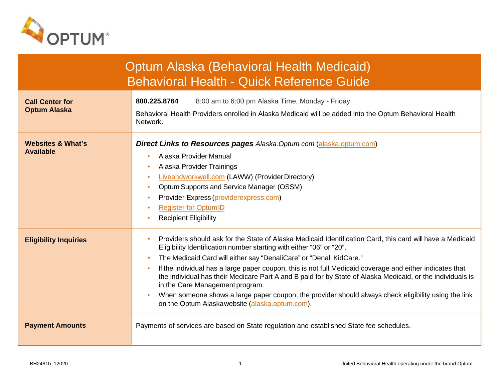

| <b>Optum Alaska (Behavioral Health Medicaid)</b><br><b>Behavioral Health - Quick Reference Guide</b> |                                                                                                                                                                                                                                                                                                                                                                                                                                                                                                                                                                                                                                                                                                                         |  |
|------------------------------------------------------------------------------------------------------|-------------------------------------------------------------------------------------------------------------------------------------------------------------------------------------------------------------------------------------------------------------------------------------------------------------------------------------------------------------------------------------------------------------------------------------------------------------------------------------------------------------------------------------------------------------------------------------------------------------------------------------------------------------------------------------------------------------------------|--|
| <b>Call Center for</b><br><b>Optum Alaska</b>                                                        | 800.225.8764<br>8:00 am to 6:00 pm Alaska Time, Monday - Friday<br>Behavioral Health Providers enrolled in Alaska Medicaid will be added into the Optum Behavioral Health<br>Network.                                                                                                                                                                                                                                                                                                                                                                                                                                                                                                                                   |  |
| <b>Websites &amp; What's</b><br><b>Available</b>                                                     | <b>Direct Links to Resources pages Alaska. Optum.com (alaska.optum.com)</b><br>Alaska Provider Manual<br>$\bullet$<br>Alaska Provider Trainings<br><b>Liveandworkwell.com (LAWW) (Provider Directory)</b><br>$\bullet$<br>Optum Supports and Service Manager (OSSM)<br>$\bullet$<br>Provider Express (providerexpress.com)<br><b>Register for OptumID</b><br><b>Recipient Eligibility</b>                                                                                                                                                                                                                                                                                                                               |  |
| <b>Eligibility Inquiries</b>                                                                         | Providers should ask for the State of Alaska Medicaid Identification Card, this card will have a Medicaid<br>$\bullet$<br>Eligibility Identification number starting with either "06" or "20".<br>The Medicaid Card will either say "DenaliCare" or "Denali KidCare."<br>If the individual has a large paper coupon, this is not full Medicaid coverage and either indicates that<br>$\bullet$<br>the individual has their Medicare Part A and B paid for by State of Alaska Medicaid, or the individuals is<br>in the Care Management program.<br>When someone shows a large paper coupon, the provider should always check eligibility using the link<br>$\bullet$<br>on the Optum Alaska website (alaska.optum.com). |  |
| <b>Payment Amounts</b>                                                                               | Payments of services are based on State regulation and established State fee schedules.                                                                                                                                                                                                                                                                                                                                                                                                                                                                                                                                                                                                                                 |  |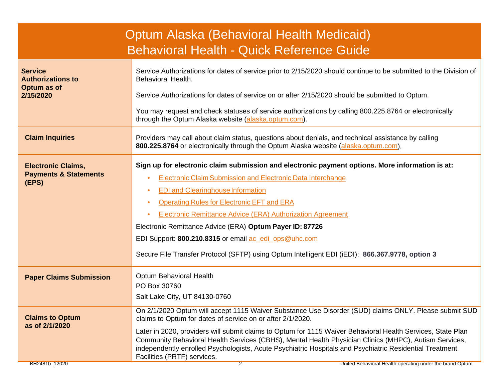| Optum Alaska (Behavioral Health Medicaid)<br><b>Behavioral Health - Quick Reference Guide</b> |                                                                                                                                                                                                                                                                                                                                                                                                                                                                                                                                                                                                   |  |  |
|-----------------------------------------------------------------------------------------------|---------------------------------------------------------------------------------------------------------------------------------------------------------------------------------------------------------------------------------------------------------------------------------------------------------------------------------------------------------------------------------------------------------------------------------------------------------------------------------------------------------------------------------------------------------------------------------------------------|--|--|
| <b>Service</b><br><b>Authorizations to</b><br>Optum as of<br>2/15/2020                        | Service Authorizations for dates of service prior to 2/15/2020 should continue to be submitted to the Division of<br>Behavioral Health.<br>Service Authorizations for dates of service on or after 2/15/2020 should be submitted to Optum.                                                                                                                                                                                                                                                                                                                                                        |  |  |
|                                                                                               | You may request and check statuses of service authorizations by calling 800.225.8764 or electronically<br>through the Optum Alaska website (alaska.optum.com).                                                                                                                                                                                                                                                                                                                                                                                                                                    |  |  |
| <b>Claim Inquiries</b>                                                                        | Providers may call about claim status, questions about denials, and technical assistance by calling<br>800.225.8764 or electronically through the Optum Alaska website (alaska.optum.com).                                                                                                                                                                                                                                                                                                                                                                                                        |  |  |
| <b>Electronic Claims,</b><br><b>Payments &amp; Statements</b><br>(EPS)                        | Sign up for electronic claim submission and electronic payment options. More information is at:<br><b>Electronic Claim Submission and Electronic Data Interchange</b><br>$\bullet$<br><b>EDI and Clearinghouse Information</b><br>۰<br><b>Operating Rules for Electronic EFT and ERA</b><br>۰<br><b>Electronic Remittance Advice (ERA) Authorization Agreement</b><br>Electronic Remittance Advice (ERA) Optum Payer ID: 87726<br>EDI Support: 800.210.8315 or email ac_edi_ops@uhc.com<br>Secure File Transfer Protocol (SFTP) using Optum Intelligent EDI (iEDI): 866.367.9778, option 3        |  |  |
| <b>Paper Claims Submission</b>                                                                | Optum Behavioral Health<br>PO Box 30760<br>Salt Lake City, UT 84130-0760                                                                                                                                                                                                                                                                                                                                                                                                                                                                                                                          |  |  |
| <b>Claims to Optum</b><br>as of 2/1/2020<br>BH2481b_12020                                     | On 2/1/2020 Optum will accept 1115 Waiver Substance Use Disorder (SUD) claims ONLY. Please submit SUD<br>claims to Optum for dates of service on or after 2/1/2020.<br>Later in 2020, providers will submit claims to Optum for 1115 Waiver Behavioral Health Services, State Plan<br>Community Behavioral Health Services (CBHS), Mental Health Physician Clinics (MHPC), Autism Services,<br>independently enrolled Psychologists, Acute Psychiatric Hospitals and Psychiatric Residential Treatment<br>Facilities (PRTF) services.<br>United Behavioral Health operating under the brand Optum |  |  |